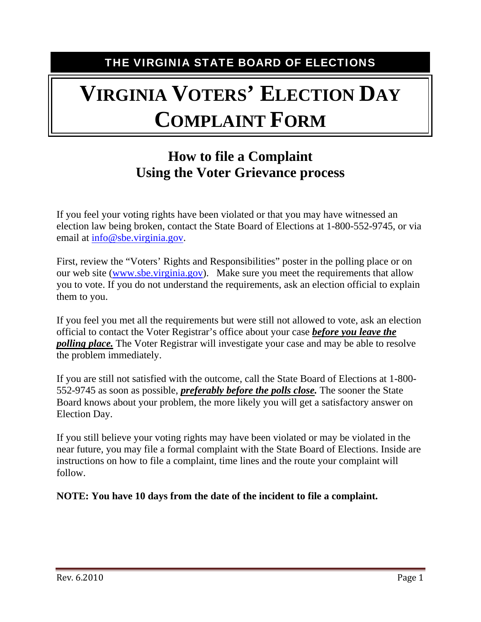THE VIRGINIA STATE BOARD OF ELECTIONS

# **VIRGINIA VOTERS' ELECTION DAY COMPLAINT FORM**

## **How to file a Complaint Using the Voter Grievance process**

If you feel your voting rights have been violated or that you may have witnessed an election law being broken, contact the State Board of Elections at 1-800-552-9745, or via email at [info@sbe.virginia.gov.](mailto:info@sbe.virginia.gov)

First, review the "Voters' Rights and Responsibilities" poster in the polling place or on our web site [\(www.sbe.virginia.gov](http://www.sbe.virginia.gov/)). Make sure you meet the requirements that allow you to vote. If you do not understand the requirements, ask an election official to explain them to you.

If you feel you met all the requirements but were still not allowed to vote, ask an election official to contact the Voter Registrar's office about your case *before you leave the polling place.* The Voter Registrar will investigate your case and may be able to resolve the problem immediately.

If you are still not satisfied with the outcome, call the State Board of Elections at 1-800- 552-9745 as soon as possible, *preferably before the polls close.* The sooner the State Board knows about your problem, the more likely you will get a satisfactory answer on Election Day.

If you still believe your voting rights may have been violated or may be violated in the near future, you may file a formal complaint with the State Board of Elections. Inside are instructions on how to file a complaint, time lines and the route your complaint will follow.

**NOTE: You have 10 days from the date of the incident to file a complaint.**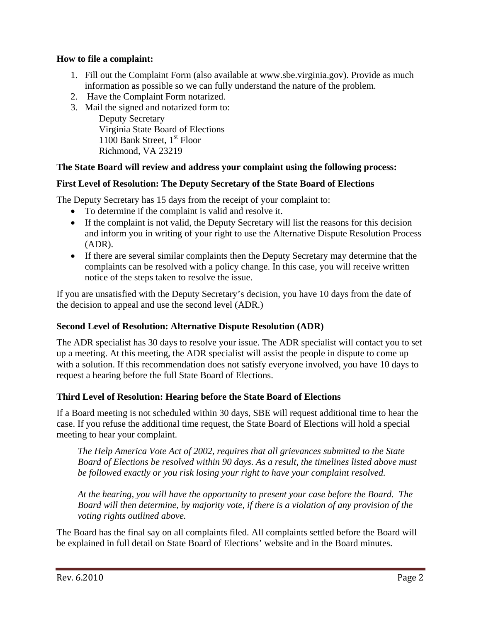#### **How to file a complaint:**

- 1. Fill out the Complaint Form (also available at www.sbe.virginia.gov). Provide as much information as possible so we can fully understand the nature of the problem.
- 2. Have the Complaint Form notarized.
- 3. Mail the signed and notarized form to: Deputy Secretary Virginia State Board of Elections 1100 Bank Street,  $1<sup>st</sup>$  Floor Richmond, VA 23219

#### **The State Board will review and address your complaint using the following process:**

#### **First Level of Resolution: The Deputy Secretary of the State Board of Elections**

The Deputy Secretary has 15 days from the receipt of your complaint to:

- To determine if the complaint is valid and resolve it.
- If the complaint is not valid, the Deputy Secretary will list the reasons for this decision and inform you in writing of your right to use the Alternative Dispute Resolution Process (ADR).
- If there are several similar complaints then the Deputy Secretary may determine that the complaints can be resolved with a policy change. In this case, you will receive written notice of the steps taken to resolve the issue.

If you are unsatisfied with the Deputy Secretary's decision, you have 10 days from the date of the decision to appeal and use the second level (ADR.)

#### **Second Level of Resolution: Alternative Dispute Resolution (ADR)**

The ADR specialist has 30 days to resolve your issue. The ADR specialist will contact you to set up a meeting. At this meeting, the ADR specialist will assist the people in dispute to come up with a solution. If this recommendation does not satisfy everyone involved, you have 10 days to request a hearing before the full State Board of Elections.

#### **Third Level of Resolution: Hearing before the State Board of Elections**

If a Board meeting is not scheduled within 30 days, SBE will request additional time to hear the case. If you refuse the additional time request, the State Board of Elections will hold a special meeting to hear your complaint.

*The Help America Vote Act of 2002, requires that all grievances submitted to the State Board of Elections be resolved within 90 days. As a result, the timelines listed above must be followed exactly or you risk losing your right to have your complaint resolved.* 

*At the hearing, you will have the opportunity to present your case before the Board. The Board will then determine, by majority vote, if there is a violation of any provision of the voting rights outlined above.* 

The Board has the final say on all complaints filed. All complaints settled before the Board will be explained in full detail on State Board of Elections' website and in the Board minutes.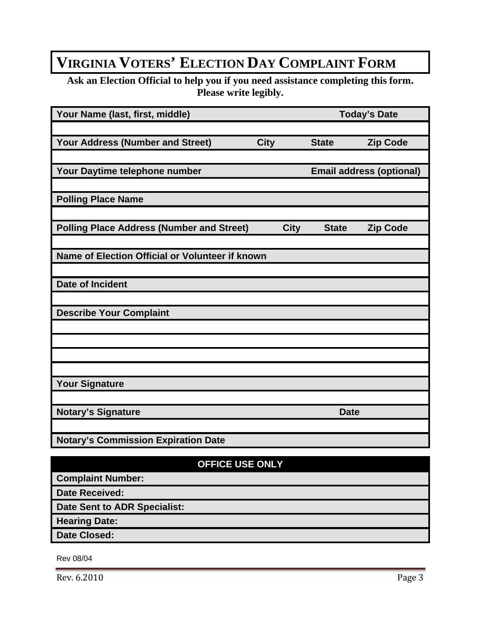# **VIRGINIA VOTERS' ELECTION DAY COMPLAINT FORM**

**Ask an Election Official to help you if you need assistance completing this form. Please write legibly.** 

| Your Name (last, first, middle)                  |                                 |             | <b>Today's Date</b> |                 |
|--------------------------------------------------|---------------------------------|-------------|---------------------|-----------------|
|                                                  |                                 |             |                     |                 |
| <b>Your Address (Number and Street)</b>          | <b>City</b>                     |             | <b>State</b>        | <b>Zip Code</b> |
|                                                  |                                 |             |                     |                 |
| Your Daytime telephone number                    | <b>Email address (optional)</b> |             |                     |                 |
|                                                  |                                 |             |                     |                 |
| <b>Polling Place Name</b>                        |                                 |             |                     |                 |
|                                                  |                                 |             |                     |                 |
| <b>Polling Place Address (Number and Street)</b> |                                 | <b>City</b> | <b>State</b>        | <b>Zip Code</b> |
|                                                  |                                 |             |                     |                 |
| Name of Election Official or Volunteer if known  |                                 |             |                     |                 |
|                                                  |                                 |             |                     |                 |
| <b>Date of Incident</b>                          |                                 |             |                     |                 |
|                                                  |                                 |             |                     |                 |
| <b>Describe Your Complaint</b>                   |                                 |             |                     |                 |
|                                                  |                                 |             |                     |                 |
|                                                  |                                 |             |                     |                 |
|                                                  |                                 |             |                     |                 |
|                                                  |                                 |             |                     |                 |
| <b>Your Signature</b>                            |                                 |             |                     |                 |
|                                                  |                                 |             |                     |                 |
| <b>Notary's Signature</b>                        |                                 |             | <b>Date</b>         |                 |
|                                                  |                                 |             |                     |                 |
| <b>Notary's Commission Expiration Date</b>       |                                 |             |                     |                 |
| <b>OFFICE USE ONLY</b>                           |                                 |             |                     |                 |
| <b>Complaint Number:</b>                         |                                 |             |                     |                 |
|                                                  |                                 |             |                     |                 |

**Date Received:** 

**Date Sent to ADR Specialist:** 

**Hearing Date:** 

**Date Closed:** 

Rev 08/04